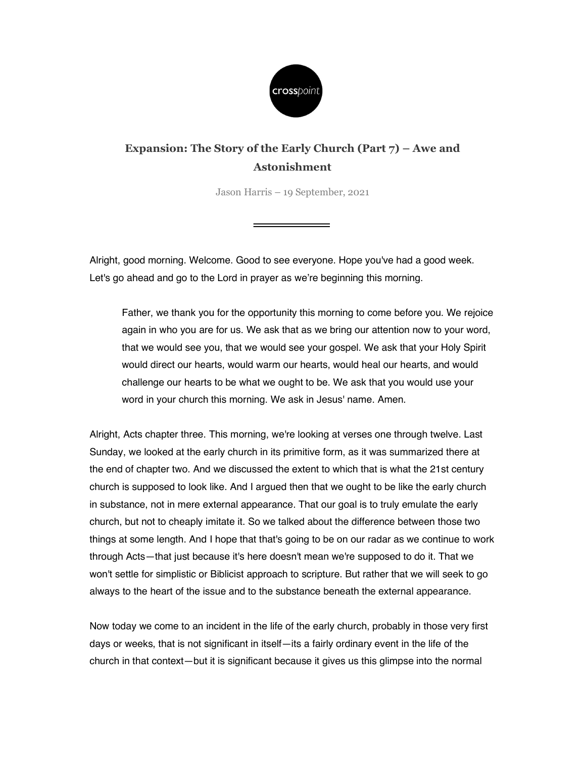

## Expansion: The Story of the Early Church (Part 7) – Awe and Astonishment

Jason Harris – 19 September, 2021

Alright, good morning. Welcome. Good to see everyone. Hope you've had a good week. Let's go ahead and go to the Lord in prayer as we're beginning this morning.

Father, we thank you for the opportunity this morning to come before you. We rejoice again in who you are for us. We ask that as we bring our attention now to your word, that we would see you, that we would see your gospel. We ask that your Holy Spirit would direct our hearts, would warm our hearts, would heal our hearts, and would challenge our hearts to be what we ought to be. We ask that you would use your word in your church this morning. We ask in Jesus' name. Amen.

Alright, Acts chapter three. This morning, we're looking at verses one through twelve. Last Sunday, we looked at the early church in its primitive form, as it was summarized there at the end of chapter two. And we discussed the extent to which that is what the 21st century church is supposed to look like. And I argued then that we ought to be like the early church in substance, not in mere external appearance. That our goal is to truly emulate the early church, but not to cheaply imitate it. So we talked about the difference between those two things at some length. And I hope that that's going to be on our radar as we continue to work through Acts—that just because it's here doesn't mean we're supposed to do it. That we won't settle for simplistic or Biblicist approach to scripture. But rather that we will seek to go always to the heart of the issue and to the substance beneath the external appearance.

Now today we come to an incident in the life of the early church, probably in those very first days or weeks, that is not significant in itself—its a fairly ordinary event in the life of the church in that context—but it is significant because it gives us this glimpse into the normal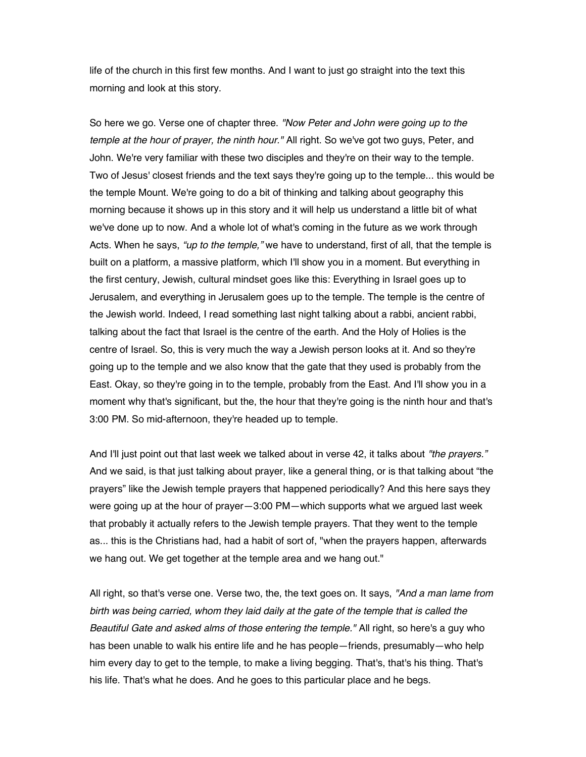life of the church in this first few months. And I want to just go straight into the text this morning and look at this story.

So here we go. Verse one of chapter three. "Now Peter and John were going up to the temple at the hour of prayer, the ninth hour." All right. So we've got two guys, Peter, and John. We're very familiar with these two disciples and they're on their way to the temple. Two of Jesus' closest friends and the text says they're going up to the temple... this would be the temple Mount. We're going to do a bit of thinking and talking about geography this morning because it shows up in this story and it will help us understand a little bit of what we've done up to now. And a whole lot of what's coming in the future as we work through Acts. When he says, "up to the temple," we have to understand, first of all, that the temple is built on a platform, a massive platform, which I'll show you in a moment. But everything in the first century, Jewish, cultural mindset goes like this: Everything in Israel goes up to Jerusalem, and everything in Jerusalem goes up to the temple. The temple is the centre of the Jewish world. Indeed, I read something last night talking about a rabbi, ancient rabbi, talking about the fact that Israel is the centre of the earth. And the Holy of Holies is the centre of Israel. So, this is very much the way a Jewish person looks at it. And so they're going up to the temple and we also know that the gate that they used is probably from the East. Okay, so they're going in to the temple, probably from the East. And I'll show you in a moment why that's significant, but the, the hour that they're going is the ninth hour and that's 3:00 PM. So mid-afternoon, they're headed up to temple.

And I'll just point out that last week we talked about in verse 42, it talks about "the prayers." And we said, is that just talking about prayer, like a general thing, or is that talking about "the prayers" like the Jewish temple prayers that happened periodically? And this here says they were going up at the hour of prayer—3:00 PM—which supports what we argued last week that probably it actually refers to the Jewish temple prayers. That they went to the temple as... this is the Christians had, had a habit of sort of, "when the prayers happen, afterwards we hang out. We get together at the temple area and we hang out."

All right, so that's verse one. Verse two, the, the text goes on. It says, "And a man lame from birth was being carried, whom they laid daily at the gate of the temple that is called the Beautiful Gate and asked alms of those entering the temple." All right, so here's a guy who has been unable to walk his entire life and he has people—friends, presumably—who help him every day to get to the temple, to make a living begging. That's, that's his thing. That's his life. That's what he does. And he goes to this particular place and he begs.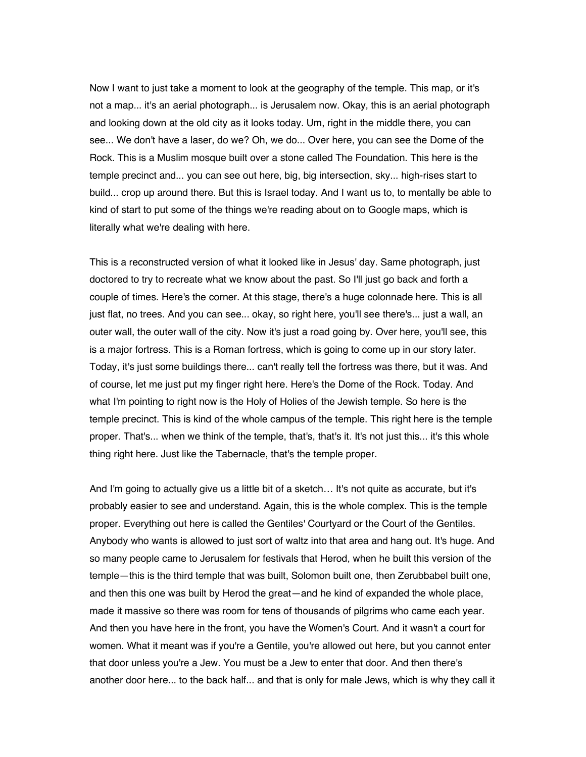Now I want to just take a moment to look at the geography of the temple. This map, or it's not a map... it's an aerial photograph... is Jerusalem now. Okay, this is an aerial photograph and looking down at the old city as it looks today. Um, right in the middle there, you can see... We don't have a laser, do we? Oh, we do... Over here, you can see the Dome of the Rock. This is a Muslim mosque built over a stone called The Foundation. This here is the temple precinct and... you can see out here, big, big intersection, sky... high-rises start to build... crop up around there. But this is Israel today. And I want us to, to mentally be able to kind of start to put some of the things we're reading about on to Google maps, which is literally what we're dealing with here.

This is a reconstructed version of what it looked like in Jesus' day. Same photograph, just doctored to try to recreate what we know about the past. So I'll just go back and forth a couple of times. Here's the corner. At this stage, there's a huge colonnade here. This is all just flat, no trees. And you can see... okay, so right here, you'll see there's... just a wall, an outer wall, the outer wall of the city. Now it's just a road going by. Over here, you'll see, this is a major fortress. This is a Roman fortress, which is going to come up in our story later. Today, it's just some buildings there... can't really tell the fortress was there, but it was. And of course, let me just put my finger right here. Here's the Dome of the Rock. Today. And what I'm pointing to right now is the Holy of Holies of the Jewish temple. So here is the temple precinct. This is kind of the whole campus of the temple. This right here is the temple proper. That's... when we think of the temple, that's, that's it. It's not just this... it's this whole thing right here. Just like the Tabernacle, that's the temple proper.

And I'm going to actually give us a little bit of a sketch… It's not quite as accurate, but it's probably easier to see and understand. Again, this is the whole complex. This is the temple proper. Everything out here is called the Gentiles' Courtyard or the Court of the Gentiles. Anybody who wants is allowed to just sort of waltz into that area and hang out. It's huge. And so many people came to Jerusalem for festivals that Herod, when he built this version of the temple—this is the third temple that was built, Solomon built one, then Zerubbabel built one, and then this one was built by Herod the great—and he kind of expanded the whole place, made it massive so there was room for tens of thousands of pilgrims who came each year. And then you have here in the front, you have the Women's Court. And it wasn't a court for women. What it meant was if you're a Gentile, you're allowed out here, but you cannot enter that door unless you're a Jew. You must be a Jew to enter that door. And then there's another door here... to the back half... and that is only for male Jews, which is why they call it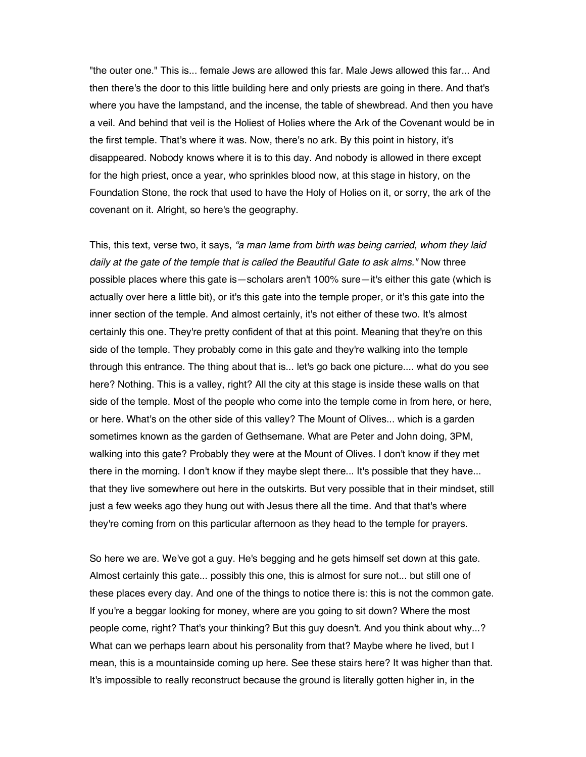"the outer one." This is... female Jews are allowed this far. Male Jews allowed this far... And then there's the door to this little building here and only priests are going in there. And that's where you have the lampstand, and the incense, the table of shewbread. And then you have a veil. And behind that veil is the Holiest of Holies where the Ark of the Covenant would be in the first temple. That's where it was. Now, there's no ark. By this point in history, it's disappeared. Nobody knows where it is to this day. And nobody is allowed in there except for the high priest, once a year, who sprinkles blood now, at this stage in history, on the Foundation Stone, the rock that used to have the Holy of Holies on it, or sorry, the ark of the covenant on it. Alright, so here's the geography.

This, this text, verse two, it says, "a man lame from birth was being carried, whom they laid daily at the gate of the temple that is called the Beautiful Gate to ask alms." Now three possible places where this gate is—scholars aren't 100% sure—it's either this gate (which is actually over here a little bit), or it's this gate into the temple proper, or it's this gate into the inner section of the temple. And almost certainly, it's not either of these two. It's almost certainly this one. They're pretty confident of that at this point. Meaning that they're on this side of the temple. They probably come in this gate and they're walking into the temple through this entrance. The thing about that is... let's go back one picture.... what do you see here? Nothing. This is a valley, right? All the city at this stage is inside these walls on that side of the temple. Most of the people who come into the temple come in from here, or here, or here. What's on the other side of this valley? The Mount of Olives... which is a garden sometimes known as the garden of Gethsemane. What are Peter and John doing, 3PM, walking into this gate? Probably they were at the Mount of Olives. I don't know if they met there in the morning. I don't know if they maybe slept there... It's possible that they have... that they live somewhere out here in the outskirts. But very possible that in their mindset, still just a few weeks ago they hung out with Jesus there all the time. And that that's where they're coming from on this particular afternoon as they head to the temple for prayers.

So here we are. We've got a guy. He's begging and he gets himself set down at this gate. Almost certainly this gate... possibly this one, this is almost for sure not... but still one of these places every day. And one of the things to notice there is: this is not the common gate. If you're a beggar looking for money, where are you going to sit down? Where the most people come, right? That's your thinking? But this guy doesn't. And you think about why...? What can we perhaps learn about his personality from that? Maybe where he lived, but I mean, this is a mountainside coming up here. See these stairs here? It was higher than that. It's impossible to really reconstruct because the ground is literally gotten higher in, in the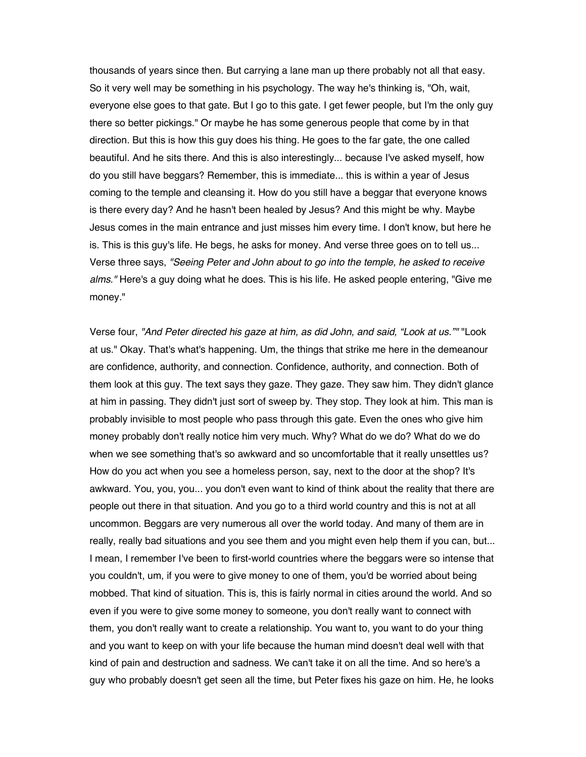thousands of years since then. But carrying a lane man up there probably not all that easy. So it very well may be something in his psychology. The way he's thinking is, "Oh, wait, everyone else goes to that gate. But I go to this gate. I get fewer people, but I'm the only guy there so better pickings." Or maybe he has some generous people that come by in that direction. But this is how this guy does his thing. He goes to the far gate, the one called beautiful. And he sits there. And this is also interestingly... because I've asked myself, how do you still have beggars? Remember, this is immediate... this is within a year of Jesus coming to the temple and cleansing it. How do you still have a beggar that everyone knows is there every day? And he hasn't been healed by Jesus? And this might be why. Maybe Jesus comes in the main entrance and just misses him every time. I don't know, but here he is. This is this guy's life. He begs, he asks for money. And verse three goes on to tell us... Verse three says, "Seeing Peter and John about to go into the temple, he asked to receive alms." Here's a guy doing what he does. This is his life. He asked people entering, "Give me money."

Verse four, "And Peter directed his gaze at him, as did John, and said, "Look at us."" "Look at us." Okay. That's what's happening. Um, the things that strike me here in the demeanour are confidence, authority, and connection. Confidence, authority, and connection. Both of them look at this guy. The text says they gaze. They gaze. They saw him. They didn't glance at him in passing. They didn't just sort of sweep by. They stop. They look at him. This man is probably invisible to most people who pass through this gate. Even the ones who give him money probably don't really notice him very much. Why? What do we do? What do we do when we see something that's so awkward and so uncomfortable that it really unsettles us? How do you act when you see a homeless person, say, next to the door at the shop? It's awkward. You, you, you... you don't even want to kind of think about the reality that there are people out there in that situation. And you go to a third world country and this is not at all uncommon. Beggars are very numerous all over the world today. And many of them are in really, really bad situations and you see them and you might even help them if you can, but... I mean, I remember I've been to first-world countries where the beggars were so intense that you couldn't, um, if you were to give money to one of them, you'd be worried about being mobbed. That kind of situation. This is, this is fairly normal in cities around the world. And so even if you were to give some money to someone, you don't really want to connect with them, you don't really want to create a relationship. You want to, you want to do your thing and you want to keep on with your life because the human mind doesn't deal well with that kind of pain and destruction and sadness. We can't take it on all the time. And so here's a guy who probably doesn't get seen all the time, but Peter fixes his gaze on him. He, he looks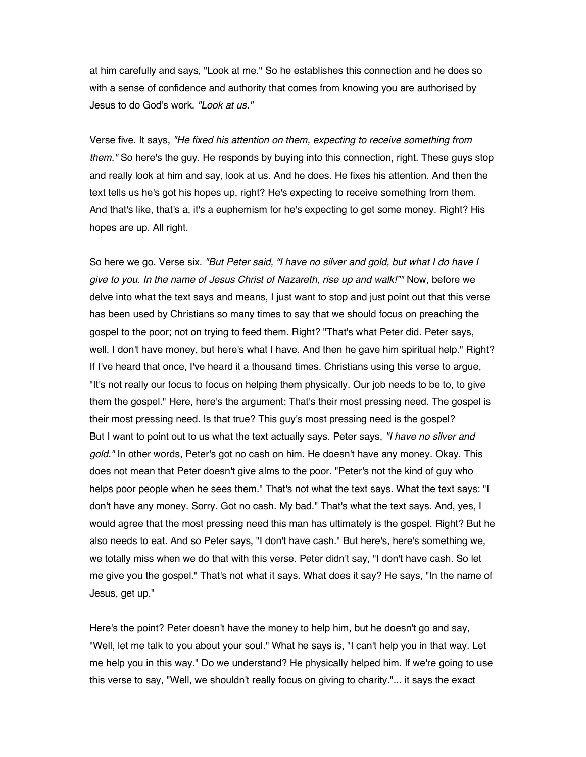at him carefully and says, "Look at me." So he establishes this connection and he does so with a sense of confidence and authority that comes from knowing you are authorised by Jesus to do God's work. "Look at us."

Verse five. It says, "He fixed his attention on them, expecting to receive something from them." So here's the guy. He responds by buying into this connection, right. These guys stop and really look at him and say, look at us. And he does. He fixes his attention. And then the text tells us he's got his hopes up, right? He's expecting to receive something from them. And that's like, that's a, it's a euphemism for he's expecting to get some money. Right? His hopes are up. All right.

So here we go. Verse six. "But Peter said, "I have no silver and gold, but what I do have I give to you. In the name of Jesus Christ of Nazareth, rise up and walk!"" Now, before we delve into what the text says and means, I just want to stop and just point out that this verse has been used by Christians so many times to say that we should focus on preaching the gospel to the poor; not on trying to feed them. Right? "That's what Peter did. Peter says, well, I don't have money, but here's what I have. And then he gave him spiritual help." Right? If I've heard that once, I've heard it a thousand times. Christians using this verse to argue, "It's not really our focus to focus on helping them physically. Our job needs to be to, to give them the gospel." Here, here's the argument: That's their most pressing need. The gospel is their most pressing need. Is that true? This guy's most pressing need is the gospel? But I want to point out to us what the text actually says. Peter says, "I have no silver and gold." In other words, Peter's got no cash on him. He doesn't have any money. Okay. This does not mean that Peter doesn't give alms to the poor. "Peter's not the kind of guy who helps poor people when he sees them." That's not what the text says. What the text says: "I don't have any money. Sorry. Got no cash. My bad." That's what the text says. And, yes, I would agree that the most pressing need this man has ultimately is the gospel. Right? But he also needs to eat. And so Peter says, "I don't have cash." But here's, here's something we, we totally miss when we do that with this verse. Peter didn't say, "I don't have cash. So let me give you the gospel." That's not what it says. What does it say? He says, "In the name of Jesus, get up."

Here's the point? Peter doesn't have the money to help him, but he doesn't go and say, "Well, let me talk to you about your soul." What he says is, "I can't help you in that way. Let me help you in this way." Do we understand? He physically helped him. If we're going to use this verse to say, "Well, we shouldn't really focus on giving to charity."... it says the exact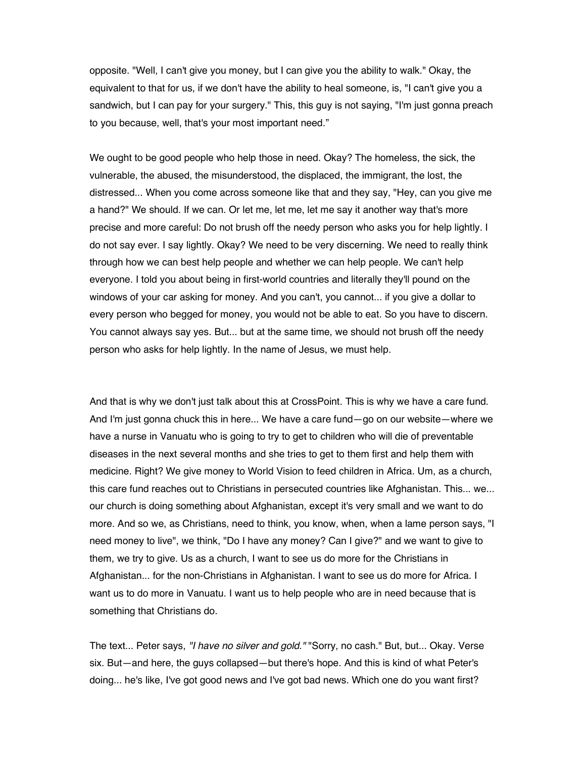opposite. "Well, I can't give you money, but I can give you the ability to walk." Okay, the equivalent to that for us, if we don't have the ability to heal someone, is, "I can't give you a sandwich, but I can pay for your surgery." This, this guy is not saying, "I'm just gonna preach to you because, well, that's your most important need."

We ought to be good people who help those in need. Okay? The homeless, the sick, the vulnerable, the abused, the misunderstood, the displaced, the immigrant, the lost, the distressed... When you come across someone like that and they say, "Hey, can you give me a hand?" We should. If we can. Or let me, let me, let me say it another way that's more precise and more careful: Do not brush off the needy person who asks you for help lightly. I do not say ever. I say lightly. Okay? We need to be very discerning. We need to really think through how we can best help people and whether we can help people. We can't help everyone. I told you about being in first-world countries and literally they'll pound on the windows of your car asking for money. And you can't, you cannot... if you give a dollar to every person who begged for money, you would not be able to eat. So you have to discern. You cannot always say yes. But... but at the same time, we should not brush off the needy person who asks for help lightly. In the name of Jesus, we must help.

And that is why we don't just talk about this at CrossPoint. This is why we have a care fund. And I'm just gonna chuck this in here... We have a care fund—go on our website—where we have a nurse in Vanuatu who is going to try to get to children who will die of preventable diseases in the next several months and she tries to get to them first and help them with medicine. Right? We give money to World Vision to feed children in Africa. Um, as a church, this care fund reaches out to Christians in persecuted countries like Afghanistan. This... we... our church is doing something about Afghanistan, except it's very small and we want to do more. And so we, as Christians, need to think, you know, when, when a lame person says, "I need money to live", we think, "Do I have any money? Can I give?" and we want to give to them, we try to give. Us as a church, I want to see us do more for the Christians in Afghanistan... for the non-Christians in Afghanistan. I want to see us do more for Africa. I want us to do more in Vanuatu. I want us to help people who are in need because that is something that Christians do.

The text... Peter says, "I have no silver and gold." "Sorry, no cash." But, but... Okay. Verse six. But—and here, the guys collapsed—but there's hope. And this is kind of what Peter's doing... he's like, I've got good news and I've got bad news. Which one do you want first?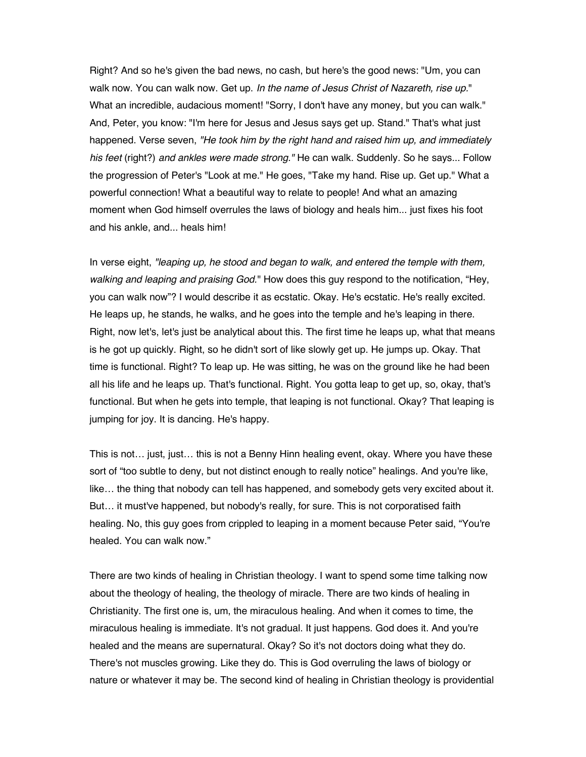Right? And so he's given the bad news, no cash, but here's the good news: "Um, you can walk now. You can walk now. Get up. In the name of Jesus Christ of Nazareth, rise up." What an incredible, audacious moment! "Sorry, I don't have any money, but you can walk." And, Peter, you know: "I'm here for Jesus and Jesus says get up. Stand." That's what just happened. Verse seven, "He took him by the right hand and raised him up, and immediately his feet (right?) and ankles were made strong." He can walk. Suddenly. So he says... Follow the progression of Peter's "Look at me." He goes, "Take my hand. Rise up. Get up." What a powerful connection! What a beautiful way to relate to people! And what an amazing moment when God himself overrules the laws of biology and heals him... just fixes his foot and his ankle, and... heals him!

In verse eight, "leaping up, he stood and began to walk, and entered the temple with them, walking and leaping and praising God." How does this guy respond to the notification, "Hey, you can walk now"? I would describe it as ecstatic. Okay. He's ecstatic. He's really excited. He leaps up, he stands, he walks, and he goes into the temple and he's leaping in there. Right, now let's, let's just be analytical about this. The first time he leaps up, what that means is he got up quickly. Right, so he didn't sort of like slowly get up. He jumps up. Okay. That time is functional. Right? To leap up. He was sitting, he was on the ground like he had been all his life and he leaps up. That's functional. Right. You gotta leap to get up, so, okay, that's functional. But when he gets into temple, that leaping is not functional. Okay? That leaping is jumping for joy. It is dancing. He's happy.

This is not… just, just… this is not a Benny Hinn healing event, okay. Where you have these sort of "too subtle to deny, but not distinct enough to really notice" healings. And you're like, like… the thing that nobody can tell has happened, and somebody gets very excited about it. But… it must've happened, but nobody's really, for sure. This is not corporatised faith healing. No, this guy goes from crippled to leaping in a moment because Peter said, "You're healed. You can walk now."

There are two kinds of healing in Christian theology. I want to spend some time talking now about the theology of healing, the theology of miracle. There are two kinds of healing in Christianity. The first one is, um, the miraculous healing. And when it comes to time, the miraculous healing is immediate. It's not gradual. It just happens. God does it. And you're healed and the means are supernatural. Okay? So it's not doctors doing what they do. There's not muscles growing. Like they do. This is God overruling the laws of biology or nature or whatever it may be. The second kind of healing in Christian theology is providential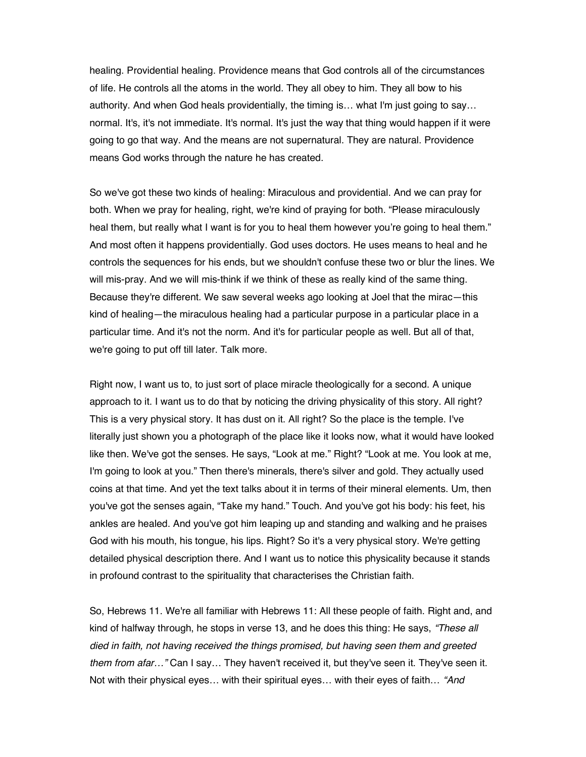healing. Providential healing. Providence means that God controls all of the circumstances of life. He controls all the atoms in the world. They all obey to him. They all bow to his authority. And when God heals providentially, the timing is… what I'm just going to say… normal. It's, it's not immediate. It's normal. It's just the way that thing would happen if it were going to go that way. And the means are not supernatural. They are natural. Providence means God works through the nature he has created.

So we've got these two kinds of healing: Miraculous and providential. And we can pray for both. When we pray for healing, right, we're kind of praying for both. "Please miraculously heal them, but really what I want is for you to heal them however you're going to heal them." And most often it happens providentially. God uses doctors. He uses means to heal and he controls the sequences for his ends, but we shouldn't confuse these two or blur the lines. We will mis-pray. And we will mis-think if we think of these as really kind of the same thing. Because they're different. We saw several weeks ago looking at Joel that the mirac—this kind of healing—the miraculous healing had a particular purpose in a particular place in a particular time. And it's not the norm. And it's for particular people as well. But all of that, we're going to put off till later. Talk more.

Right now, I want us to, to just sort of place miracle theologically for a second. A unique approach to it. I want us to do that by noticing the driving physicality of this story. All right? This is a very physical story. It has dust on it. All right? So the place is the temple. I've literally just shown you a photograph of the place like it looks now, what it would have looked like then. We've got the senses. He says, "Look at me." Right? "Look at me. You look at me, I'm going to look at you." Then there's minerals, there's silver and gold. They actually used coins at that time. And yet the text talks about it in terms of their mineral elements. Um, then you've got the senses again, "Take my hand." Touch. And you've got his body: his feet, his ankles are healed. And you've got him leaping up and standing and walking and he praises God with his mouth, his tongue, his lips. Right? So it's a very physical story. We're getting detailed physical description there. And I want us to notice this physicality because it stands in profound contrast to the spirituality that characterises the Christian faith.

So, Hebrews 11. We're all familiar with Hebrews 11: All these people of faith. Right and, and kind of halfway through, he stops in verse 13, and he does this thing: He says, "These all died in faith, not having received the things promised, but having seen them and greeted them from afar…" Can I say… They haven't received it, but they've seen it. They've seen it. Not with their physical eyes... with their spiritual eyes... with their eyes of faith... "And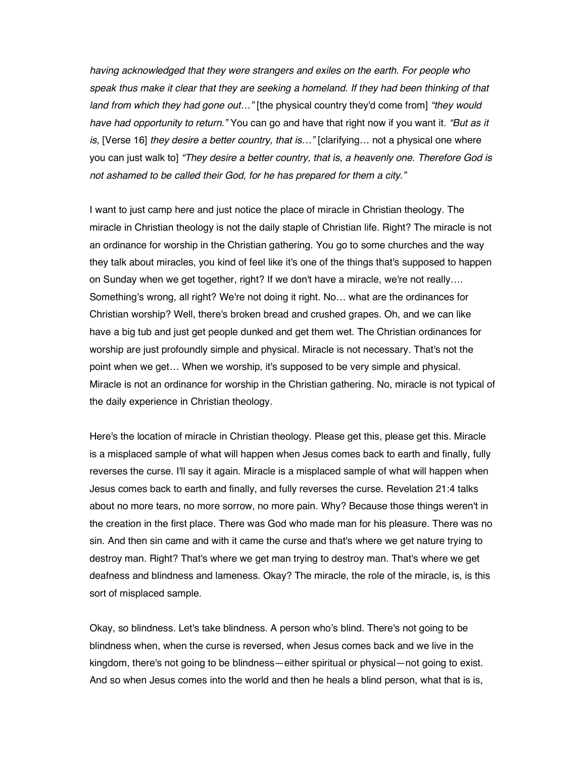having acknowledged that they were strangers and exiles on the earth. For people who speak thus make it clear that they are seeking a homeland. If they had been thinking of that land from which they had gone out..." [the physical country they'd come from] "they would have had opportunity to return." You can go and have that right now if you want it. "But as it is, [Verse 16] they desire a better country, that is…" [clarifying… not a physical one where you can just walk to] "They desire a better country, that is, a heavenly one. Therefore God is not ashamed to be called their God, for he has prepared for them a city."

I want to just camp here and just notice the place of miracle in Christian theology. The miracle in Christian theology is not the daily staple of Christian life. Right? The miracle is not an ordinance for worship in the Christian gathering. You go to some churches and the way they talk about miracles, you kind of feel like it's one of the things that's supposed to happen on Sunday when we get together, right? If we don't have a miracle, we're not really…. Something's wrong, all right? We're not doing it right. No… what are the ordinances for Christian worship? Well, there's broken bread and crushed grapes. Oh, and we can like have a big tub and just get people dunked and get them wet. The Christian ordinances for worship are just profoundly simple and physical. Miracle is not necessary. That's not the point when we get… When we worship, it's supposed to be very simple and physical. Miracle is not an ordinance for worship in the Christian gathering. No, miracle is not typical of the daily experience in Christian theology.

Here's the location of miracle in Christian theology. Please get this, please get this. Miracle is a misplaced sample of what will happen when Jesus comes back to earth and finally, fully reverses the curse. I'll say it again. Miracle is a misplaced sample of what will happen when Jesus comes back to earth and finally, and fully reverses the curse. Revelation 21:4 talks about no more tears, no more sorrow, no more pain. Why? Because those things weren't in the creation in the first place. There was God who made man for his pleasure. There was no sin. And then sin came and with it came the curse and that's where we get nature trying to destroy man. Right? That's where we get man trying to destroy man. That's where we get deafness and blindness and lameness. Okay? The miracle, the role of the miracle, is, is this sort of misplaced sample.

Okay, so blindness. Let's take blindness. A person who's blind. There's not going to be blindness when, when the curse is reversed, when Jesus comes back and we live in the kingdom, there's not going to be blindness—either spiritual or physical—not going to exist. And so when Jesus comes into the world and then he heals a blind person, what that is is,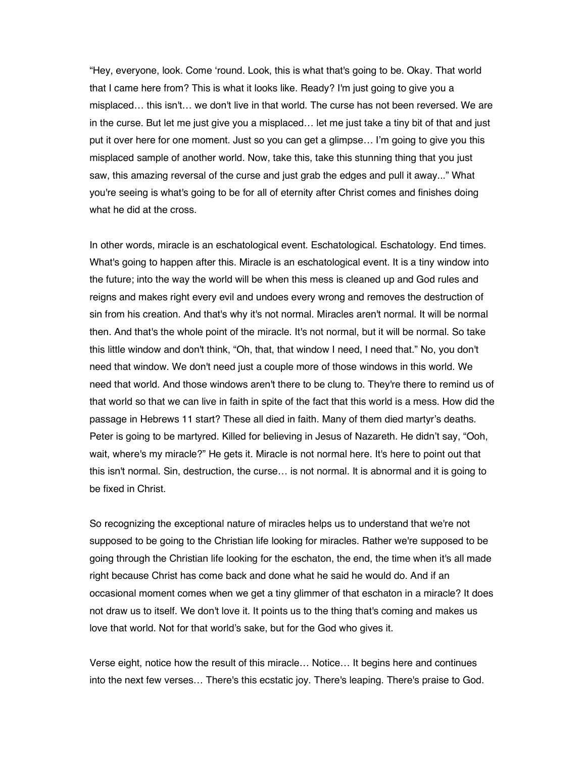"Hey, everyone, look. Come 'round. Look, this is what that's going to be. Okay. That world that I came here from? This is what it looks like. Ready? I'm just going to give you a misplaced… this isn't… we don't live in that world. The curse has not been reversed. We are in the curse. But let me just give you a misplaced… let me just take a tiny bit of that and just put it over here for one moment. Just so you can get a glimpse… I'm going to give you this misplaced sample of another world. Now, take this, take this stunning thing that you just saw, this amazing reversal of the curse and just grab the edges and pull it away..." What you're seeing is what's going to be for all of eternity after Christ comes and finishes doing what he did at the cross.

In other words, miracle is an eschatological event. Eschatological. Eschatology. End times. What's going to happen after this. Miracle is an eschatological event. It is a tiny window into the future; into the way the world will be when this mess is cleaned up and God rules and reigns and makes right every evil and undoes every wrong and removes the destruction of sin from his creation. And that's why it's not normal. Miracles aren't normal. It will be normal then. And that's the whole point of the miracle. It's not normal, but it will be normal. So take this little window and don't think, "Oh, that, that window I need, I need that." No, you don't need that window. We don't need just a couple more of those windows in this world. We need that world. And those windows aren't there to be clung to. They're there to remind us of that world so that we can live in faith in spite of the fact that this world is a mess. How did the passage in Hebrews 11 start? These all died in faith. Many of them died martyr's deaths. Peter is going to be martyred. Killed for believing in Jesus of Nazareth. He didn't say, "Ooh, wait, where's my miracle?" He gets it. Miracle is not normal here. It's here to point out that this isn't normal. Sin, destruction, the curse… is not normal. It is abnormal and it is going to be fixed in Christ.

So recognizing the exceptional nature of miracles helps us to understand that we're not supposed to be going to the Christian life looking for miracles. Rather we're supposed to be going through the Christian life looking for the eschaton, the end, the time when it's all made right because Christ has come back and done what he said he would do. And if an occasional moment comes when we get a tiny glimmer of that eschaton in a miracle? It does not draw us to itself. We don't love it. It points us to the thing that's coming and makes us love that world. Not for that world's sake, but for the God who gives it.

Verse eight, notice how the result of this miracle… Notice… It begins here and continues into the next few verses… There's this ecstatic joy. There's leaping. There's praise to God.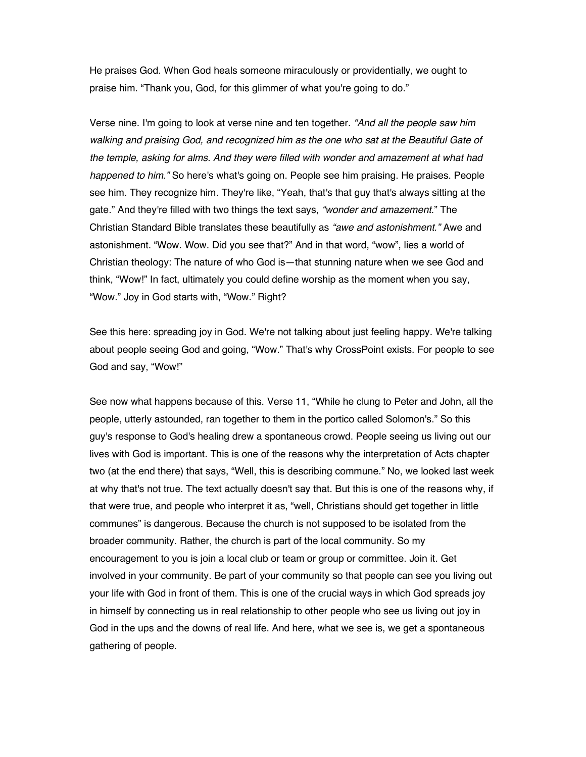He praises God. When God heals someone miraculously or providentially, we ought to praise him. "Thank you, God, for this glimmer of what you're going to do."

Verse nine. I'm going to look at verse nine and ten together. "And all the people saw him walking and praising God, and recognized him as the one who sat at the Beautiful Gate of the temple, asking for alms. And they were filled with wonder and amazement at what had happened to him." So here's what's going on. People see him praising. He praises. People see him. They recognize him. They're like, "Yeah, that's that guy that's always sitting at the gate." And they're filled with two things the text says, "wonder and amazement." The Christian Standard Bible translates these beautifully as "awe and astonishment." Awe and astonishment. "Wow. Wow. Did you see that?" And in that word, "wow", lies a world of Christian theology: The nature of who God is—that stunning nature when we see God and think, "Wow!" In fact, ultimately you could define worship as the moment when you say, "Wow." Joy in God starts with, "Wow." Right?

See this here: spreading joy in God. We're not talking about just feeling happy. We're talking about people seeing God and going, "Wow." That's why CrossPoint exists. For people to see God and say, "Wow!"

See now what happens because of this. Verse 11, "While he clung to Peter and John, all the people, utterly astounded, ran together to them in the portico called Solomon's." So this guy's response to God's healing drew a spontaneous crowd. People seeing us living out our lives with God is important. This is one of the reasons why the interpretation of Acts chapter two (at the end there) that says, "Well, this is describing commune." No, we looked last week at why that's not true. The text actually doesn't say that. But this is one of the reasons why, if that were true, and people who interpret it as, "well, Christians should get together in little communes" is dangerous. Because the church is not supposed to be isolated from the broader community. Rather, the church is part of the local community. So my encouragement to you is join a local club or team or group or committee. Join it. Get involved in your community. Be part of your community so that people can see you living out your life with God in front of them. This is one of the crucial ways in which God spreads joy in himself by connecting us in real relationship to other people who see us living out joy in God in the ups and the downs of real life. And here, what we see is, we get a spontaneous gathering of people.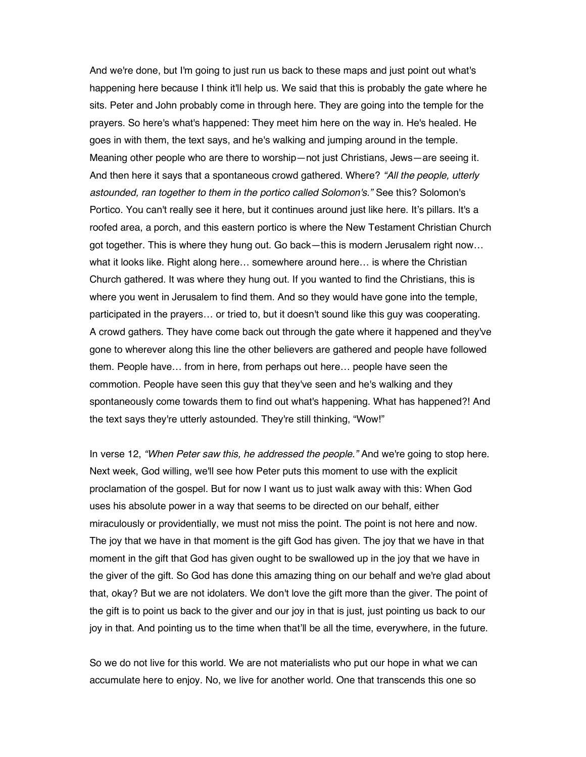And we're done, but I'm going to just run us back to these maps and just point out what's happening here because I think it'll help us. We said that this is probably the gate where he sits. Peter and John probably come in through here. They are going into the temple for the prayers. So here's what's happened: They meet him here on the way in. He's healed. He goes in with them, the text says, and he's walking and jumping around in the temple. Meaning other people who are there to worship—not just Christians, Jews—are seeing it. And then here it says that a spontaneous crowd gathered. Where? "All the people, utterly astounded, ran together to them in the portico called Solomon's." See this? Solomon's Portico. You can't really see it here, but it continues around just like here. It's pillars. It's a roofed area, a porch, and this eastern portico is where the New Testament Christian Church got together. This is where they hung out. Go back—this is modern Jerusalem right now… what it looks like. Right along here… somewhere around here… is where the Christian Church gathered. It was where they hung out. If you wanted to find the Christians, this is where you went in Jerusalem to find them. And so they would have gone into the temple, participated in the prayers… or tried to, but it doesn't sound like this guy was cooperating. A crowd gathers. They have come back out through the gate where it happened and they've gone to wherever along this line the other believers are gathered and people have followed them. People have… from in here, from perhaps out here… people have seen the commotion. People have seen this guy that they've seen and he's walking and they spontaneously come towards them to find out what's happening. What has happened?! And the text says they're utterly astounded. They're still thinking, "Wow!"

In verse 12, "When Peter saw this, he addressed the people." And we're going to stop here. Next week, God willing, we'll see how Peter puts this moment to use with the explicit proclamation of the gospel. But for now I want us to just walk away with this: When God uses his absolute power in a way that seems to be directed on our behalf, either miraculously or providentially, we must not miss the point. The point is not here and now. The joy that we have in that moment is the gift God has given. The joy that we have in that moment in the gift that God has given ought to be swallowed up in the joy that we have in the giver of the gift. So God has done this amazing thing on our behalf and we're glad about that, okay? But we are not idolaters. We don't love the gift more than the giver. The point of the gift is to point us back to the giver and our joy in that is just, just pointing us back to our joy in that. And pointing us to the time when that'll be all the time, everywhere, in the future.

So we do not live for this world. We are not materialists who put our hope in what we can accumulate here to enjoy. No, we live for another world. One that transcends this one so